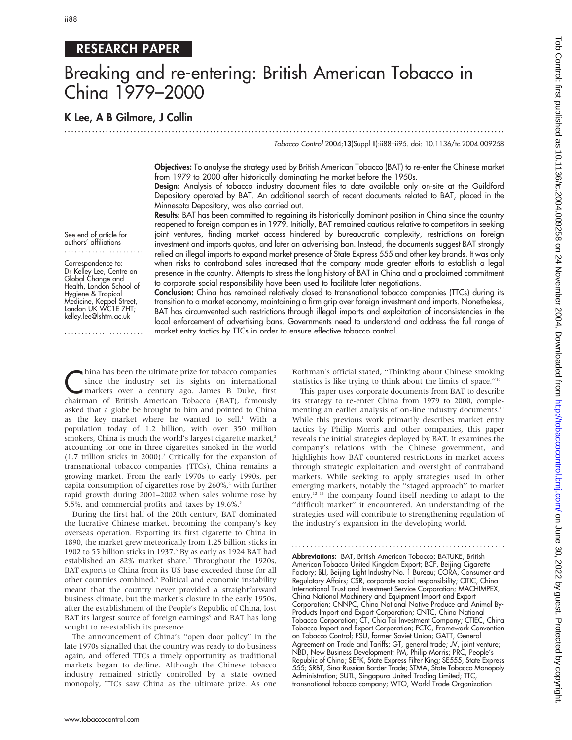# RESEARCH PAPER

# Breaking and re-entering: British American Tobacco in China 1979–2000

...............................................................................................................................

# K Lee, A B Gilmore, J Collin

See end of article for authors' affiliations ....................... Correspondence to: Dr Kelley Lee, Centre on Global Change and Health, London School of Hygiene & Tropical Medicine, Keppel Street, London UK WC1E 7HT; kelley.lee@lshtm.ac.uk .......................

#### Tobacco Control 2004;13(Suppl II):ii88–ii95. doi: 10.1136/tc.2004.009258

Objectives: To analyse the strategy used by British American Tobacco (BAT) to re-enter the Chinese market from 1979 to 2000 after historically dominating the market before the 1950s.

Design: Analysis of tobacco industry document files to date available only on-site at the Guildford Depository operated by BAT. An additional search of recent documents related to BAT, placed in the Minnesota Depository, was also carried out.

Results: BAT has been committed to regaining its historically dominant position in China since the country reopened to foreign companies in 1979. Initially, BAT remained cautious relative to competitors in seeking joint ventures, finding market access hindered by bureaucratic complexity, restrictions on foreign investment and imports quotas, and later an advertising ban. Instead, the documents suggest BAT strongly relied on illegal imports to expand market presence of State Express 555 and other key brands. It was only when risks to contraband sales increased that the company made greater efforts to establish a legal presence in the country. Attempts to stress the long history of BAT in China and a proclaimed commitment to corporate social responsibility have been used to facilitate later negotiations.

Conclusion: China has remained relatively closed to transnational tobacco companies (TTCs) during its transition to a market economy, maintaining a firm grip over foreign investment and imports. Nonetheless, BAT has circumvented such restrictions through illegal imports and exploitation of inconsistencies in the local enforcement of advertising bans. Governments need to understand and address the full range of market entry tactics by TTCs in order to ensure effective tobacco control.

thina has been the ultimate prize for tobacco companies<br>since the industry set its sights on international<br>markets over a century ago. James B Duke, first<br>chairman of Divisib American Tabasse (BAT), famously since the industry set its sights on international chairman of British American Tobacco (BAT), famously asked that a globe be brought to him and pointed to China as the key market where he wanted to sell.<sup>1</sup> With a population today of 1.2 billion, with over 350 million smokers, China is much the world's largest cigarette market,<sup>2</sup> accounting for one in three cigarettes smoked in the world (1.7 trillion sticks in 2000).3 Critically for the expansion of transnational tobacco companies (TTCs), China remains a growing market. From the early 1970s to early 1990s, per capita consumption of cigarettes rose by  $260\%$ ,<sup>4</sup> with further rapid growth during 2001–2002 when sales volume rose by 5.5%, and commercial profits and taxes by 19.6%.<sup>5</sup>

During the first half of the 20th century, BAT dominated the lucrative Chinese market, becoming the company's key overseas operation. Exporting its first cigarette to China in 1890, the market grew meteorically from 1.25 billion sticks in 1902 to 55 billion sticks in 1937.<sup>6</sup> By as early as 1924 BAT had established an 82% market share.<sup>7</sup> Throughout the 1920s, BAT exports to China from its US base exceeded those for all other countries combined.8 Political and economic instability meant that the country never provided a straightforward business climate, but the market's closure in the early 1950s, after the establishment of the People's Republic of China, lost BAT its largest source of foreign earnings<sup>9</sup> and BAT has long sought to re-establish its presence.

The announcement of China's ''open door policy'' in the late 1970s signalled that the country was ready to do business again, and offered TTCs a timely opportunity as traditional markets began to decline. Although the Chinese tobacco industry remained strictly controlled by a state owned monopoly, TTCs saw China as the ultimate prize. As one Rothman's official stated, ''Thinking about Chinese smoking statistics is like trying to think about the limits of space.''10

This paper uses corporate documents from BAT to describe its strategy to re-enter China from 1979 to 2000, complementing an earlier analysis of on-line industry documents.<sup>11</sup> While this previous work primarily describes market entry tactics by Philip Morris and other companies, this paper reveals the initial strategies deployed by BAT. It examines the company's relations with the Chinese government, and highlights how BAT countered restrictions in market access through strategic exploitation and oversight of contraband markets. While seeking to apply strategies used in other emerging markets, notably the ''staged approach'' to market entry,<sup>12 13</sup> the company found itself needing to adapt to the ''difficult market'' it encountered. An understanding of the strategies used will contribute to strengthening regulation of the industry's expansion in the developing world.

Abbreviations: BAT, British American Tobacco; BATUKE, British American Tobacco United Kingdom Export; BCF, Beijing Cigarette Factory; BLI, Beijing Light Industry No. 1 Bureau; CORA, Consumer and Regulatory Affairs; CSR, corporate social responsibility; CITIC, China International Trust and Investment Service Corporation; MACHIMPEX, China National Machinery and Equipment Import and Export Corporation; CNNPC, China National Native Produce and Animal By-Products Import and Export Corporation; CNTC, China National Tobacco Corporation; CT, Chia Tai Investment Company; CTIEC, China Tobacco Import and Export Corporation; FCTC, Framework Convention on Tobacco Control; FSU, former Soviet Union; GATT, General Agreement on Trade and Tariffs; GT, general trade; JV, joint venture; NBD, New Business Development; PM, Philip Morris; PRC, People's Republic of China; SEFK, State Express Filter King; SE555, State Express 555; SRBT, Sino-Russian Border Trade; STMA, State Tobacco Monopoly Administration; SUTL, Singapura United Trading Limited; TTC, transnational tobacco company; WTO, World Trade Organization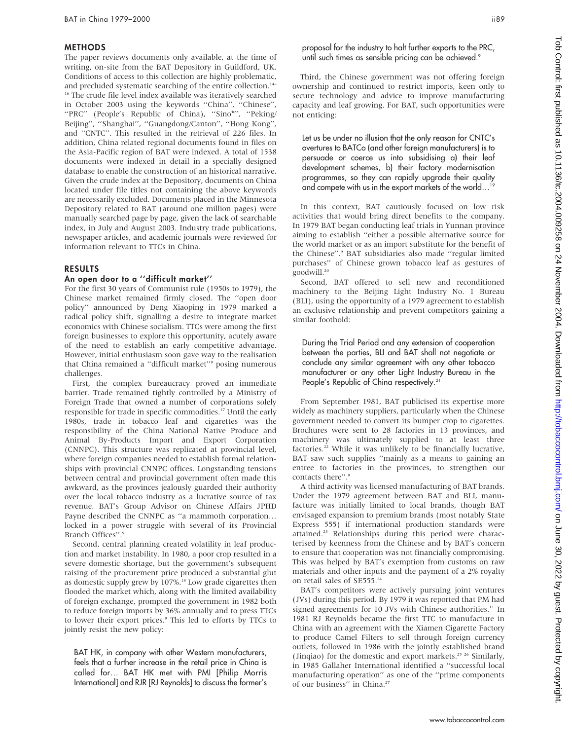#### METHODS

The paper reviews documents only available, at the time of writing, on-site from the BAT Depository in Guildford, UK. Conditions of access to this collection are highly problematic, and precluded systematic searching of the entire collection.<sup>14–</sup> <sup>16</sup> The crude file level index available was iteratively searched in October 2003 using the keywords ''China'', ''Chinese'', "PRC" (People's Republic of China), "Sino\*", "Peking/ Beijing'', ''Shanghai'', ''Guangdong/Canton'', ''Hong Kong'', and ''CNTC''. This resulted in the retrieval of 226 files. In addition, China related regional documents found in files on the Asia-Pacific region of BAT were indexed. A total of 1538 documents were indexed in detail in a specially designed database to enable the construction of an historical narrative. Given the crude index at the Depository, documents on China located under file titles not containing the above keywords are necessarily excluded. Documents placed in the Minnesota Depository related to BAT (around one million pages) were manually searched page by page, given the lack of searchable index, in July and August 2003. Industry trade publications, newspaper articles, and academic journals were reviewed for information relevant to TTCs in China.

#### RESULTS

#### An open door to a ''difficult market''

For the first 30 years of Communist rule (1950s to 1979), the Chinese market remained firmly closed. The ''open door policy'' announced by Deng Xiaoping in 1979 marked a radical policy shift, signalling a desire to integrate market economics with Chinese socialism. TTCs were among the first foreign businesses to explore this opportunity, acutely aware of the need to establish an early competitive advantage. However, initial enthusiasm soon gave way to the realisation that China remained a "difficult market"<sup>9</sup> posing numerous challenges.

First, the complex bureaucracy proved an immediate barrier. Trade remained tightly controlled by a Ministry of Foreign Trade that owned a number of corporations solely responsible for trade in specific commodities.<sup>17</sup> Until the early 1980s, trade in tobacco leaf and cigarettes was the responsibility of the China National Native Produce and Animal By-Products Import and Export Corporation (CNNPC). This structure was replicated at provincial level, where foreign companies needed to establish formal relationships with provincial CNNPC offices. Longstanding tensions between central and provincial government often made this awkward, as the provinces jealously guarded their authority over the local tobacco industry as a lucrative source of tax revenue. BAT's Group Advisor on Chinese Affairs JPHD Payne described the CNNPC as ''a mammoth corporation… locked in a power struggle with several of its Provincial Branch Offices".9

Second, central planning created volatility in leaf production and market instability. In 1980, a poor crop resulted in a severe domestic shortage, but the government's subsequent raising of the procurement price produced a substantial glut as domestic supply grew by 107%.<sup>18</sup> Low grade cigarettes then flooded the market which, along with the limited availability of foreign exchange, prompted the government in 1982 both to reduce foreign imports by 36% annually and to press TTCs to lower their export prices.<sup>9</sup> This led to efforts by TTCs to jointly resist the new policy:

BAT HK, in company with other Western manufacturers, feels that a further increase in the retail price in China is called for… BAT HK met with PMI [Philip Morris International] and RJR [RJ Reynolds] to discuss the former's proposal for the industry to halt further exports to the PRC, until such times as sensible pricing can be achieved.<sup>9</sup>

Third, the Chinese government was not offering foreign ownership and continued to restrict imports, keen only to secure technology and advice to improve manufacturing capacity and leaf growing. For BAT, such opportunities were not enticing:

Let us be under no illusion that the only reason for CNTC's overtures to BATCo (and other foreign manufacturers) is to persuade or coerce us into subsidising a) their leaf development schemes, b) their factory modernisation programmes, so they can rapidly upgrade their quality and compete with us in the export markets of the world…19

In this context, BAT cautiously focused on low risk activities that would bring direct benefits to the company. In 1979 BAT began conducting leaf trials in Yunnan province aiming to establish ''either a possible alternative source for the world market or as an import substitute for the benefit of the Chinese''.9 BAT subsidiaries also made ''regular limited purchases'' of Chinese grown tobacco leaf as gestures of goodwill.<sup>20</sup>

Second, BAT offered to sell new and reconditioned machinery to the Beijing Light Industry No. 1 Bureau (BLI), using the opportunity of a 1979 agreement to establish an exclusive relationship and prevent competitors gaining a similar foothold:

During the Trial Period and any extension of cooperation between the parties, BLI and BAT shall not negotiate or conclude any similar agreement with any other tobacco manufacturer or any other Light Industry Bureau in the People's Republic of China respectively.<sup>21</sup>

From September 1981, BAT publicised its expertise more widely as machinery suppliers, particularly when the Chinese government needed to convert its bumper crop to cigarettes. Brochures were sent to 28 factories in 13 provinces, and machinery was ultimately supplied to at least three factories.<sup>22</sup> While it was unlikely to be financially lucrative, BAT saw such supplies ''mainly as a means to gaining an entree to factories in the provinces, to strengthen our contacts there".9

A third activity was licensed manufacturing of BAT brands. Under the 1979 agreement between BAT and BLI, manufacture was initially limited to local brands, though BAT envisaged expansion to premium brands (most notably State Express 555) if international production standards were attained.23 Relationships during this period were characterised by keenness from the Chinese and by BAT's concern to ensure that cooperation was not financially compromising. This was helped by BAT's exemption from customs on raw materials and other inputs and the payment of a 2% royalty on retail sales of SE555.<sup>24</sup>

BAT's competitors were actively pursuing joint ventures (JVs) during this period. By 1979 it was reported that PM had signed agreements for 10 JVs with Chinese authorities.<sup>11</sup> In 1981 RJ Reynolds became the first TTC to manufacture in China with an agreement with the Xiamen Cigarette Factory to produce Camel Filters to sell through foreign currency outlets, followed in 1986 with the jointly established brand (Jinqiao) for the domestic and export markets.<sup>25 26</sup> Similarly, in 1985 Gallaher International identified a ''successful local manufacturing operation'' as one of the ''prime components of our business" in China.<sup>27</sup>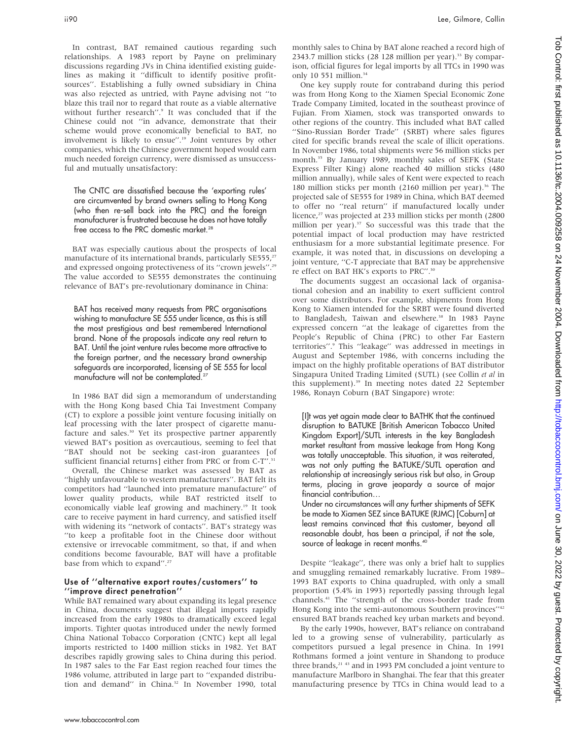In contrast, BAT remained cautious regarding such relationships. A 1983 report by Payne on preliminary discussions regarding JVs in China identified existing guidelines as making it ''difficult to identify positive profitsources''. Establishing a fully owned subsidiary in China was also rejected as untried, with Payne advising not ''to blaze this trail nor to regard that route as a viable alternative without further research".<sup>9</sup> It was concluded that if the Chinese could not ''in advance, demonstrate that their scheme would prove economically beneficial to BAT, no involvement is likely to ensue''.19 Joint ventures by other companies, which the Chinese government hoped would earn much needed foreign currency, were dismissed as unsuccessful and mutually unsatisfactory:

The CNTC are dissatisfied because the 'exporting rules' are circumvented by brand owners selling to Hong Kong (who then re-sell back into the PRC) and the foreign manufacturer is frustrated because he does not have totally free access to the PRC domestic market.<sup>28</sup>

BAT was especially cautious about the prospects of local manufacture of its international brands, particularly  $SE555$ ,<sup>27</sup> and expressed ongoing protectiveness of its ''crown jewels''.29 The value accorded to SE555 demonstrates the continuing relevance of BAT's pre-revolutionary dominance in China:

BAT has received many requests from PRC organisations wishing to manufacture SE 555 under licence, as this is still the most prestigious and best remembered International brand. None of the proposals indicate any real return to BAT. Until the joint venture rules become more attractive to the foreign partner, and the necessary brand ownership safeguards are incorporated, licensing of SE 555 for local manufacture will not be contemplated.<sup>27</sup>

In 1986 BAT did sign a memorandum of understanding with the Hong Kong based Chia Tai Investment Company (CT) to explore a possible joint venture focusing initially on leaf processing with the later prospect of cigarette manufacture and sales.<sup>30</sup> Yet its prospective partner apparently viewed BAT's position as overcautious, seeming to feel that ''BAT should not be seeking cast-iron guarantees [of sufficient financial returns] either from PRC or from C-T".<sup>31</sup>

Overall, the Chinese market was assessed by BAT as ''highly unfavourable to western manufacturers''. BAT felt its competitors had ''launched into premature manufacture'' of lower quality products, while BAT restricted itself to economically viable leaf growing and machinery.<sup>19</sup> It took care to receive payment in hard currency, and satisfied itself with widening its ''network of contacts''. BAT's strategy was ''to keep a profitable foot in the Chinese door without extensive or irrevocable commitment, so that, if and when conditions become favourable, BAT will have a profitable base from which to expand''.27

#### Use of ''alternative export routes/customers'' to ''improve direct penetration''

While BAT remained wary about expanding its legal presence in China, documents suggest that illegal imports rapidly increased from the early 1980s to dramatically exceed legal imports. Tighter quotas introduced under the newly formed China National Tobacco Corporation (CNTC) kept all legal imports restricted to 1400 million sticks in 1982. Yet BAT describes rapidly growing sales to China during this period. In 1987 sales to the Far East region reached four times the 1986 volume, attributed in large part to ''expanded distribution and demand" in China.<sup>32</sup> In November 1990, total monthly sales to China by BAT alone reached a record high of 2343.7 million sticks (28 128 million per year).<sup>33</sup> By comparison, official figures for legal imports by all TTCs in 1990 was only 10 551 million.<sup>34</sup>

One key supply route for contraband during this period was from Hong Kong to the Xiamen Special Economic Zone Trade Company Limited, located in the southeast province of Fujian. From Xiamen, stock was transported onwards to other regions of the country. This included what BAT called "Sino-Russian Border Trade" (SRBT) where sales figures cited for specific brands reveal the scale of illicit operations. In November 1986, total shipments were 56 million sticks per month.<sup>35</sup> By January 1989, monthly sales of SEFK (State Express Filter King) alone reached 40 million sticks (480 million annually), while sales of Kent were expected to reach 180 million sticks per month (2160 million per year).<sup>36</sup> The projected sale of SE555 for 1989 in China, which BAT deemed to offer no ''real return'' if manufactured locally under licence,<sup>27</sup> was projected at 233 million sticks per month (2800 million per year).<sup>37</sup> So successful was this trade that the potential impact of local production may have restricted enthusiasm for a more substantial legitimate presence. For example, it was noted that, in discussions on developing a joint venture, ''C-T appreciate that BAT may be apprehensive re effect on BAT HK's exports to PRC''.30

The documents suggest an occasional lack of organisational cohesion and an inability to exert sufficient control over some distributors. For example, shipments from Hong Kong to Xiamen intended for the SRBT were found diverted to Bangladesh, Taiwan and elsewhere.<sup>38</sup> In 1983 Payne expressed concern ''at the leakage of cigarettes from the People's Republic of China (PRC) to other Far Eastern territories''.9 This ''leakage'' was addressed in meetings in August and September 1986, with concerns including the impact on the highly profitable operations of BAT distributor Singapura United Trading Limited (SUTL) (see Collin et al in this supplement).39 In meeting notes dated 22 September 1986, Ronayn Coburn (BAT Singapore) wrote:

[I]t was yet again made clear to BATHK that the continued disruption to BATUKE [British American Tobacco United Kingdom Export]/SUTL interests in the key Bangladesh market resultant from massive leakage from Hong Kong was totally unacceptable. This situation, it was reiterated, was not only putting the BATUKE/SUTL operation and relationship at increasingly serious risk but also, in Group terms, placing in grave jeopardy a source of major financial contribution…

Under no circumstances will any further shipments of SEFK be made to Xiamen SEZ since BATUKE (RJMC) [Coburn] at least remains convinced that this customer, beyond all reasonable doubt, has been a principal, if not the sole, source of leakage in recent months.<sup>40</sup>

Despite ''leakage'', there was only a brief halt to supplies and smuggling remained remarkably lucrative. From 1989– 1993 BAT exports to China quadrupled, with only a small proportion (5.4% in 1993) reportedly passing through legal channels.41 The ''strength of the cross-border trade from Hong Kong into the semi-autonomous Southern provinces''42 ensured BAT brands reached key urban markets and beyond.

By the early 1990s, however, BAT's reliance on contraband led to a growing sense of vulnerability, particularly as competitors pursued a legal presence in China. In 1991 Rothmans formed a joint venture in Shandong to produce three brands, $21$  43 and in 1993 PM concluded a joint venture to manufacture Marlboro in Shanghai. The fear that this greater manufacturing presence by TTCs in China would lead to a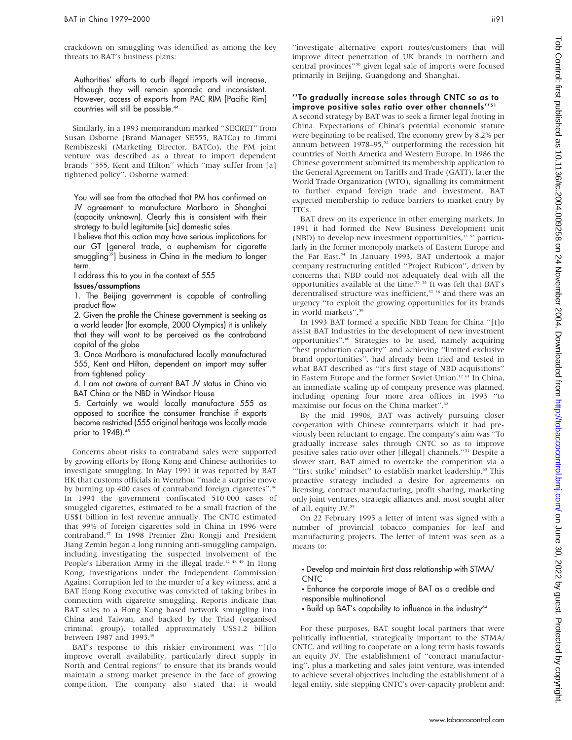crackdown on smuggling was identified as among the key threats to BAT's business plans:

Authorities' efforts to curb illegal imports will increase, although they will remain sporadic and inconsistent. However, access of exports from PAC RIM [Pacific Rim] countries will still be possible.<sup>44</sup>

Similarly, in a 1993 memorandum marked ''SECRET'' from Susan Osborne (Brand Manager SE555, BATCo) to Jimmi Rembiszeski (Marketing Director, BATCo), the PM joint venture was described as a threat to import dependent brands "555, Kent and Hilton" which "may suffer from [a] tightened policy''. Osborne warned:

You will see from the attached that PM has confirmed an JV agreement to manufacture Marlboro in Shanghai (capacity unknown). Clearly this is consistent with their strategy to build legitamite [sic] domestic sales.

I believe that this action may have serious implications for our GT [general trade, a euphemism for cigarette smuggling<sup>39</sup>] business in China in the medium to longer term.

I address this to you in the context of 555

#### Issues/assumptions

1. The Beijing government is capable of controlling product flow

2. Given the profile the Chinese government is seeking as a world leader (for example, 2000 Olympics) it is unlikely that they will want to be perceived as the contraband capital of the globe

3. Once Marlboro is manufactured locally manufactured 555, Kent and Hilton, dependent on import may suffer from tightened policy

4. I am not aware of current BAT JV status in China via BAT China or the NBD in Windsor House

5. Certainly we would locally manufacture 555 as opposed to sacrifice the consumer franchise if exports become restricted (555 original heritage was locally made prior to 1948).<sup>45</sup>

Concerns about risks to contraband sales were supported by growing efforts by Hong Kong and Chinese authorities to investigate smuggling. In May 1991 it was reported by BAT HK that customs officials in Wenzhou ''made a surprise move by burning up 400 cases of contraband foreign cigarettes".<sup>46</sup> In 1994 the government confiscated 510 000 cases of smuggled cigarettes, estimated to be a small fraction of the US\$1 billion in lost revenue annually. The CNTC estimated that 99% of foreign cigarettes sold in China in 1996 were contraband.47 In 1998 Premier Zhu Rongji and President Jiang Zemin began a long running anti-smuggling campaign, including investigating the suspected involvement of the People's Liberation Army in the illegal trade.<sup>12 48 49</sup> In Hong Kong, investigations under the Independent Commission Against Corruption led to the murder of a key witness, and a BAT Hong Kong executive was convicted of taking bribes in connection with cigarette smuggling. Reports indicate that BAT sales to a Hong Kong based network smuggling into China and Taiwan, and backed by the Triad (organised criminal group), totalled approximately US\$1.2 billion between 1987 and 1993.<sup>39</sup>

BAT's response to this riskier environment was ''[t]o improve overall availability, particularly direct supply in North and Central regions'' to ensure that its brands would maintain a strong market presence in the face of growing competition. The company also stated that it would

''investigate alternative export routes/customers that will improve direct penetration of UK brands in northern and central provinces''50 given legal sale of imports were focused primarily in Beijing, Guangdong and Shanghai.

### ''To gradually increase sales through CNTC so as to improve positive sales ratio over other channels"<sup>51</sup>

A second strategy by BAT was to seek a firmer legal footing in China. Expectations of China's potential economic stature were beginning to be realised. The economy grew by 8.2% per annum between  $1978-95$ ,<sup>52</sup> outperforming the recession hit countries of North America and Western Europe. In 1986 the Chinese government submitted its membership application to the General Agreement on Tariffs and Trade (GATT), later the World Trade Organization (WTO), signalling its commitment to further expand foreign trade and investment. BAT expected membership to reduce barriers to market entry by TTCs.

BAT drew on its experience in other emerging markets. In 1991 it had formed the New Business Development unit (NBD) to develop new investment opportunities,<sup>13 53</sup> particularly in the former monopoly markets of Eastern Europe and the Far East.54 In January 1993, BAT undertook a major company restructuring entitled ''Project Rubicon'', driven by concerns that NBD could not adequately deal with all the opportunities available at the time.55 56 It was felt that BAT's decentralised structure was inefficient,<sup>57</sup> <sup>58</sup> and there was an urgency ''to exploit the growing opportunities for its brands in world markets''.59

In 1993 BAT formed a specific NBD Team for China ''[t]o assist BAT Industries in the development of new investment opportunities''.60 Strategies to be used, namely acquiring "best production capacity" and achieving "limited exclusive brand opportunities'', had already been tried and tested in what BAT described as "it's first stage of NBD acquisitions" in Eastern Europe and the former Soviet Union.12 61 In China, an immediate scaling up of company presence was planned, including opening four more area offices in 1993 ''to maximise our focus on the China market".<sup>62</sup>

By the mid 1990s, BAT was actively pursuing closer cooperation with Chinese counterparts which it had previously been reluctant to engage. The company's aim was ''To gradually increase sales through CNTC so as to improve positive sales ratio over other [illegal] channels.''51 Despite a slower start, BAT aimed to overtake the competition via a "'first strike' mindset" to establish market leadership.<sup>63</sup> This proactive strategy included a desire for agreements on licensing, contract manufacturing, profit sharing, marketing only joint ventures, strategic alliances and, most sought after of all, equity JV.<sup>59</sup>

On 22 February 1995 a letter of intent was signed with a number of provincial tobacco companies for leaf and manufacturing projects. The letter of intent was seen as a means to:

- Develop and maintain first class relationship with STMA/ CNTC
- Enhance the corporate image of BAT as a credible and responsible multinational
- Build up BAT's capability to influence in the industry<sup>64</sup>

For these purposes, BAT sought local partners that were politically influential, strategically important to the STMA/ CNTC, and willing to cooperate on a long term basis towards an equity JV. The establishment of ''contract manufacturing'', plus a marketing and sales joint venture, was intended to achieve several objectives including the establishment of a legal entity, side stepping CNTC's over-capacity problem and: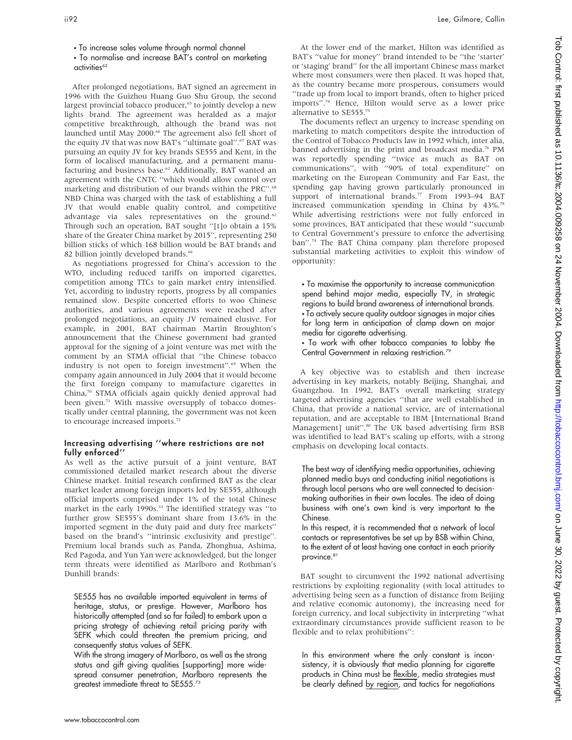## • To normalise and increase BAT's control on marketing activities<sup>62</sup>

After prolonged negotiations, BAT signed an agreement in 1996 with the Guizhou Huang Guo Shu Group, the second largest provincial tobacco producer,<sup>65</sup> to jointly develop a new lights brand. The agreement was heralded as a major competitive breakthrough, although the brand was not launched until May 2000.<sup>66</sup> The agreement also fell short of the equity JV that was now BAT's "ultimate goal".<sup>67</sup> BAT was pursuing an equity JV for key brands SE555 and Kent, in the form of localised manufacturing, and a permanent manufacturing and business base.<sup>62</sup> Additionally, BAT wanted an agreement with the CNTC ''which would allow control over marketing and distribution of our brands within the PRC".<sup>68</sup> NBD China was charged with the task of establishing a full JV that would enable quality control, and competitive advantage via sales representatives on the ground.<sup>62</sup> Through such an operation, BAT sought ''[t]o obtain a 15% share of the Greater China market by 2015'', representing 250 billion sticks of which 168 billion would be BAT brands and 82 billion jointly developed brands.<sup>66</sup>

As negotiations progressed for China's accession to the WTO, including reduced tariffs on imported cigarettes, competition among TTCs to gain market entry intensified. Yet, according to industry reports, progress by all companies remained slow. Despite concerted efforts to woo Chinese authorities, and various agreements were reached after prolonged negotiations, an equity JV remained elusive. For example, in 2001, BAT chairman Martin Broughton's announcement that the Chinese government had granted approval for the signing of a joint venture was met with the comment by an STMA official that ''the Chinese tobacco industry is not open to foreign investment".<sup>69</sup> When the company again announced in July 2004 that it would become the first foreign company to manufacture cigarettes in China,70 STMA officials again quickly denied approval had been given.<sup>71</sup> With massive oversupply of tobacco domestically under central planning, the government was not keen to encourage increased imports.<sup>72</sup>

#### Increasing advertising ''where restrictions are not fully enforced''

As well as the active pursuit of a joint venture, BAT commissioned detailed market research about the diverse Chinese market. Initial research confirmed BAT as the clear market leader among foreign imports led by SE555, although official imports comprised under 1% of the total Chinese market in the early 1990s.<sup>33</sup> The identified strategy was "to further grow SE555's dominant share from 13.6% in the imported segment in the duty paid and duty free markets'' based on the brand's ''intrinsic exclusivity and prestige''. Premium local brands such as Panda, Zhonghua, Ashima, Red Pagoda, and Yun Yan were acknowledged, but the longer term threats were identified as Marlboro and Rothman's Dunhill brands:

SE555 has no available imported equivalent in terms of heritage, status, or prestige. However, Marlboro has historically attempted (and so far failed) to embark upon a pricing strategy of achieving retail pricing parity with SEFK which could threaten the premium pricing, and consequently status values of SEFK.

With the strong imagery of Marlboro, as well as the strong status and gift giving qualities [supporting] more widespread consumer penetration, Marlboro represents the greatest immediate threat to SE555.<sup>73</sup>

At the lower end of the market, Hilton was identified as BAT's ''value for money'' brand intended to be ''the 'starter' or 'staging' brand'' for the all important Chinese mass market where most consumers were then placed. It was hoped that, as the country became more prosperous, consumers would ''trade up from local to import brands, often to higher priced imports''.74 Hence, Hilton would serve as a lower price alternative to SE555.75

The documents reflect an urgency to increase spending on marketing to match competitors despite the introduction of the Control of Tobacco Products law in 1992 which, inter alia, banned advertising in the print and broadcast media.<sup>76</sup> PM was reportedly spending ''twice as much as BAT on communications'', with ''90% of total expenditure'' on marketing on the European Community and Far East, the spending gap having grown particularly pronounced in support of international brands.<sup>77</sup> From 1993-94 BAT increased communication spending in China by 43%.78 While advertising restrictions were not fully enforced in some provinces, BAT anticipated that these would ''succumb to Central Government's pressure to enforce the advertising ban".<sup>74</sup> The BAT China company plan therefore proposed substantial marketing activities to exploit this window of opportunity:

• To maximise the opportunity to increase communication spend behind major media, especially TV, in strategic regions to build brand awareness of international brands.  $\cdot$  To actively secure quality outdoor signages in major cities for long term in anticipation of clamp down on major media for cigarette advertising.

• To work with other tobacco companies to lobby the Central Government in relaxing restriction.79

A key objective was to establish and then increase advertising in key markets, notably Beijing, Shanghai, and Guangzhou. In 1992, BAT's overall marketing strategy targeted advertising agencies ''that are well established in China, that provide a national service, are of international reputation, and are acceptable to IBM [International Brand Management] unit".<sup>80</sup> The UK based advertising firm BSB was identified to lead BAT's scaling up efforts, with a strong emphasis on developing local contacts.

The best way of identifying media opportunities, achieving planned media buys and conducting initial negotiations is through local persons who are well connected to decisionmaking authorities in their own locales. The idea of doing business with one's own kind is very important to the Chinese.

In this respect, it is recommended that a network of local contacts or representatives be set up by BSB within China, to the extent of at least having one contact in each priority province.<sup>81</sup>

BAT sought to circumvent the 1992 national advertising restrictions by exploiting regionality (with local attitudes to advertising being seen as a function of distance from Beijing and relative economic autonomy), the increasing need for foreign currency, and local subjectivity in interpreting ''what extraordinary circumstances provide sufficient reason to be flexible and to relax prohibitions'':

In this environment where the only constant is inconsistency, it is obviously that media planning for cigarette products in China must be flexible, media strategies must be clearly defined by region, and tactics for negotiations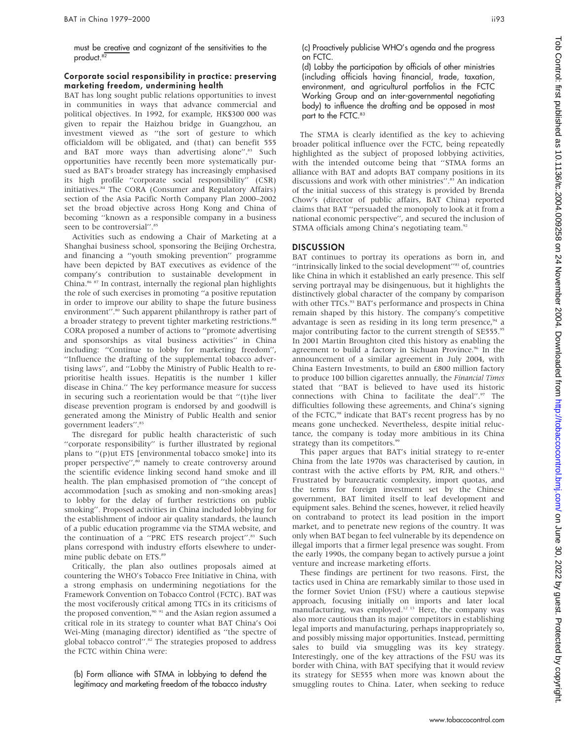must be creative and cognizant of the sensitivities to the product.<sup>82</sup>

### Corporate social responsibility in practice: preserving marketing freedom, undermining health

BAT has long sought public relations opportunities to invest in communities in ways that advance commercial and political objectives. In 1992, for example, HK\$300 000 was given to repair the Haizhou bridge in Guangzhou, an investment viewed as ''the sort of gesture to which officialdom will be obligated, and (that) can benefit 555 and BAT more ways than advertising alone".<sup>83</sup> Such opportunities have recently been more systematically pursued as BAT's broader strategy has increasingly emphasised its high profile ''corporate social responsibility'' (CSR) initiatives.84 The CORA (Consumer and Regulatory Affairs) section of the Asia Pacific North Company Plan 2000–2002 set the broad objective across Hong Kong and China of becoming ''known as a responsible company in a business seen to be controversial".<sup>85</sup>

Activities such as endowing a Chair of Marketing at a Shanghai business school, sponsoring the Beijing Orchestra, and financing a ''youth smoking prevention'' programme have been depicted by BAT executives as evidence of the company's contribution to sustainable development in China.86 87 In contrast, internally the regional plan highlights the role of such exercises in promoting ''a positive reputation in order to improve our ability to shape the future business environment".<sup>80</sup> Such apparent philanthropy is rather part of a broader strategy to prevent tighter marketing restrictions.<sup>88</sup> CORA proposed a number of actions to ''promote advertising and sponsorships as vital business activities'' in China including: ''Continue to lobby for marketing freedom'', ''Influence the drafting of the supplemental tobacco advertising laws'', and ''Lobby the Ministry of Public Health to reprioritise health issues. Hepatitis is the number 1 killer disease in China.'' The key performance measure for success in securing such a reorientation would be that ''(t)he liver disease prevention program is endorsed by and goodwill is generated among the Ministry of Public Health and senior government leaders".<sup>83</sup>

The disregard for public health characteristic of such ''corporate responsibility'' is further illustrated by regional plans to ''(p)ut ETS [environmental tobacco smoke] into its proper perspective",<sup>80</sup> namely to create controversy around the scientific evidence linking second hand smoke and ill health. The plan emphasised promotion of ''the concept of accommodation [such as smoking and non-smoking areas] to lobby for the delay of further restrictions on public smoking''. Proposed activities in China included lobbying for the establishment of indoor air quality standards, the launch of a public education programme via the STMA website, and the continuation of a "PRC ETS research project".<sup>83</sup> Such plans correspond with industry efforts elsewhere to undermine public debate on ETS.<sup>89</sup>

Critically, the plan also outlines proposals aimed at countering the WHO's Tobacco Free Initiative in China, with a strong emphasis on undermining negotiations for the Framework Convention on Tobacco Control (FCTC). BAT was the most vociferously critical among TTCs in its criticisms of the proposed convention,<sup>90 91</sup> and the Asian region assumed a critical role in its strategy to counter what BAT China's Ooi Wei-Ming (managing director) identified as ''the spectre of global tobacco control".<sup>82</sup> The strategies proposed to address the FCTC within China were:

(b) Form alliance with STMA in lobbying to defend the legitimacy and marketing freedom of the tobacco industry (c) Proactively publicise WHO's agenda and the progress on FCTC.

(d) Lobby the participation by officials of other ministries (including officials having financial, trade, taxation, environment, and agricultural portfolios in the FCTC Working Group and an inter-governmental negotiating body) to influence the drafting and be opposed in most part to the FCTC.<sup>83</sup>

The STMA is clearly identified as the key to achieving broader political influence over the FCTC, being repeatedly highlighted as the subject of proposed lobbying activities, with the intended outcome being that ''STMA forms an alliance with BAT and adopts BAT company positions in its discussions and work with other ministries".<sup>83</sup> An indication of the initial success of this strategy is provided by Brenda Chow's (director of public affairs, BAT China) reported claims that BAT ''persuaded the monopoly to look at it from a national economic perspective'', and secured the inclusion of STMA officials among China's negotiating team.<sup>92</sup>

## DISCUSSION

BAT continues to portray its operations as born in, and "intrinsically linked to the social development"<sup>81</sup> of, countries like China in which it established an early presence. This self serving portrayal may be disingenuous, but it highlights the distinctively global character of the company by comparison with other TTCs.<sup>93</sup> BAT's performance and prospects in China remain shaped by this history. The company's competitive advantage is seen as residing in its long term presence,<sup>94</sup> a major contributing factor to the current strength of SE555.95 In 2001 Martin Broughton cited this history as enabling the agreement to build a factory in Sichuan Province.<sup>96</sup> In the announcement of a similar agreement in July 2004, with China Eastern Investments, to build an £800 million factory to produce 100 billion cigarettes annually, the Financial Times stated that ''BAT is believed to have used its historic connections with China to facilitate the deal".<sup>97</sup> The difficulties following these agreements, and China's signing of the FCTC,<sup>98</sup> indicate that BAT's recent progress has by no means gone unchecked. Nevertheless, despite initial reluctance, the company is today more ambitious in its China strategy than its competitors.<sup>9</sup>

This paper argues that BAT's initial strategy to re-enter China from the late 1970s was characterised by caution, in contrast with the active efforts by PM, RJR, and others.<sup>11</sup> Frustrated by bureaucratic complexity, import quotas, and the terms for foreign investment set by the Chinese government, BAT limited itself to leaf development and equipment sales. Behind the scenes, however, it relied heavily on contraband to protect its lead position in the import market, and to penetrate new regions of the country. It was only when BAT began to feel vulnerable by its dependence on illegal imports that a firmer legal presence was sought. From the early 1990s, the company began to actively pursue a joint venture and increase marketing efforts.

These findings are pertinent for two reasons. First, the tactics used in China are remarkably similar to those used in the former Soviet Union (FSU) where a cautious stepwise approach, focusing initially on imports and later local manufacturing, was employed.<sup>12 13</sup> Here, the company was also more cautious than its major competitors in establishing legal imports and manufacturing, perhaps inappropriately so, and possibly missing major opportunities. Instead, permitting sales to build via smuggling was its key strategy. Interestingly, one of the key attractions of the FSU was its border with China, with BAT specifying that it would review its strategy for SE555 when more was known about the smuggling routes to China. Later, when seeking to reduce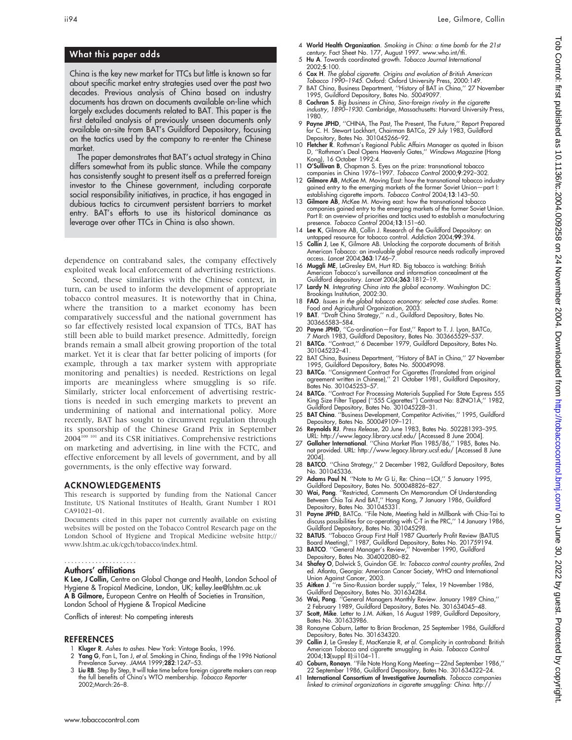# What this paper adds

China is the key new market for TTCs but little is known so far about specific market entry strategies used over the past two decades. Previous analysis of China based on industry documents has drawn on documents available on-line which largely excludes documents related to BAT. This paper is the first detailed analysis of previously unseen documents only available on-site from BAT's Guildford Depository, focusing on the tactics used by the company to re-enter the Chinese market.

The paper demonstrates that BAT's actual strategy in China differs somewhat from its public stance. While the company has consistently sought to present itself as a preferred foreign investor to the Chinese government, including corporate social responsibility initiatives, in practice, it has engaged in dubious tactics to circumvent persistent barriers to market entry. BAT's efforts to use its historical dominance as leverage over other TTCs in China is also shown.

dependence on contraband sales, the company effectively exploited weak local enforcement of advertising restrictions.

Second, these similarities with the Chinese context, in turn, can be used to inform the development of appropriate tobacco control measures. It is noteworthy that in China, where the transition to a market economy has been comparatively successful and the national government has so far effectively resisted local expansion of TTCs, BAT has still been able to build market presence. Admittedly, foreign brands remain a small albeit growing proportion of the total market. Yet it is clear that far better policing of imports (for example, through a tax marker system with appropriate monitoring and penalties) is needed. Restrictions on legal imports are meaningless where smuggling is so rife. Similarly, stricter local enforcement of advertising restrictions is needed in such emerging markets to prevent an undermining of national and international policy. More recently, BAT has sought to circumvent regulation through its sponsorship of the Chinese Grand Prix in September 2004100 101 and its CSR initiatives. Comprehensive restrictions on marketing and advertising, in line with the FCTC, and effective enforcement by all levels of government, and by all governments, is the only effective way forward.

#### ACKNOWLEDGEMENTS

This research is supported by funding from the National Cancer Institute, US National Institutes of Health, Grant Number 1 RO1 CA91021–01.

Documents cited in this paper not currently available on existing websites will be posted on the Tobacco Control Research page on the London School of Hygiene and Tropical Medicine website http:// www.lshtm.ac.uk/cgch/tobacco/index.html.

#### Authors' affiliations .....................

K Lee, J Collin, Centre on Global Change and Health, London School of Hygiene & Tropical Medicine, London, UK; kelley.lee@lshtm.ac.uk A B Gilmore, European Centre on Health of Societies in Transition, London School of Hygiene & Tropical Medicine

Conflicts of interest: No competing interests

#### REFERENCES

- 1 Kluger R. Ashes to ashes. New York: Vintage Books, 1996.
- 2 Yang G, Fan L, Tan J, et al. Smoking in China, findings of the 1996 National Prevalence Survey. JAMA 1999;282:1247–53.
- 3 Liu RB. Step By Step, It will take time before foreign cigarette makers can reap the full benefits of China's WTO membership. Tobacco Reporter 2002;March:26–8.
- 4 World Health Organization. Smoking in China: a time bomb for the 21st century. Fact Sheet No. 177, August 1997. www.who.int/tfi.
- 5 Hu A. Towards coordinated growth. Tobacco Journal International 2002;5:100.
- 6 Cox H. The global cigarette. Origins and evolution of British American Tobacco 1990–1945. Oxford: Oxford University Press, 2000:149.
- 7 BAT China, Business Department, ''History of BAT in China,'' 27 November
- 1995, Guildtord Depository, Bates No. 50049097.<br>8 **Cochran S**. Big business in China, Sino-foreign rivalry in the cigarette<br>industry, 1890–1930. Cambridge, Massachusetts: Harvard University Press, 1980.
- 9 Payne JPHD, ''CHINA, The Past, The Present, The Future,'' Report Prepared for C. H. Stewart Lockhart, Chairman BATCo, 29 July 1983, Guildford Depository, Bates No. 301045266–92.
- 10 Fletcher R. Rothman's Regional Public Affairs Manager as quoted in Ibison D, ''Rothman's Deal Opens Heavenly Gates,'' Windows Magazine (Hong Kong), 16 October 1992:4.
- 11 **O'Sullivan B**, Chapman S. Eyes on the prize: transnational tobacco<br>companies in China 1976–1997. *Tobacco Control 2000;*9:292–302.<br>12 **Gilmore AB**, McKee M. Moving East: how the transnational tobacco industry
- gained entry to the emerging markets of the former Soviet Union—part I: establishing cigarette imports. Tobacco Control 2004;13:143-50.
- 13 Gilmore AB, McKee M. Moving east: how the transnational tobacco companies gained entry to the emerging markets of the former Soviet Union. Part II: an overview of priorities and tactics used to establish a manufacturing presence. Tobacco Control 2004;13:151–60.
- 14 Lee K, Gilmore AB, Collin J. Research of the Guildford Depository: an
- untapped resource for tobacco control. Addiction 2004;99:394. 15 Collin J, Lee K, Gilmore AB. Unlocking the corporate documents of British American Tobacco: an invaluable global resource needs radically improved access. Lancet 2004;363:1746-7.
- 16 Muggli ME, LeGresley EM, Hurt RD. Big tobacco is watching: British American Tobacco's surveillance and information concealment at the Guildford depository. Lancet 2004;363:1812–19.
- 17 Lardy N. Integrating China into the global economy. Washington DC:<br>Brookings Institution, 2002:30.
- 18 FAO. Issues in the global tobacco economy: selected case studies. Rome: Food and Agricultural Organization, 2003.
- 19 BAT. ''Draft China Strategy,'' n.d., Guildford Depository, Bates No. 303665583–584.
- 20 Payne JPHD, ''Co-ordination—Far East,'' Report to T. J. Lyon, BATCo,
- 7 March 1983, Guildford Depository, Bates No. 303665529–537. 21 BATCo. ''Contract,'' 6 December 1979, Guildford Depository, Bates No. 301045232–41.
- 22 BAT China, Business Department, "History of BAT in China," 27 November 1995, Guildford Depository, Bates No. 500049098.
- 23 **BATCo**. "Consignment Contract For Cigarettes (Translated from original agreement written in Chinese),'' 21 October 1981, Guildford Depository, Bates No. 301045253–57.
- 24 **BATCo**. "Contract For Processing Materials Supplied For State Express 555 King Size Filter Tipped (''555 Cigarettes'') Contract No: 82NO1A,'' 1982, Guildford Depository, Bates No. 301045228–31.
- 25 BAT China. "Business Development, Competitor Activities," 1995, Guildford Depository, Bates No. 500049109–121.
- 26 Reynolds RJ. Press Release, 20 June 1983, Bates No. 502281393–395. URL: http://www.legacy.library.ucsf.edu/ [Accessed 8 June 2004]. 27 Gallaher International. ''China Market Plan 1985/86,'' 1985, Bates No.
- not provided. URL: http://www.legacy.library.ucsf.edu/ [Accessed 8 June 2004].
- 28 BATCO. "China Strategy," 2 December 1982, Guildford Depository, Bates No. 301045336.
- 29 Adams Paul N. "Note to Mr G Li, Re: China-LOI," 5 January 1995, Guildford Depository, Bates No. 500048826–827.
- 30 Wai, Pong. "Restricted, Comments On Memorandum Of Understanding Between Chia Tai And BAT,'' Hong Kong, 7 January 1986, Guildford
- Depository, Bates No. 301045331.<br>31 **Payne JPHD**, BATCo. "File Note, Meeting held in Millbank with Chia-Tai to<br>discuss possibilities for co-operating with C-T in the PRC," 14 January 1986,<br>Guildford Depository, Bates No. 3
- 
- Board Meeting),'' 1987, Guildford Depository, Bates No. 201759194. 33 BATCO. ''General Manager's Review,'' November 1990, Guildford Depository, Bates No. 304002080–82.
- 34 Shafey O, Dolwick S, Guindon GE. In: Tobacco control country profiles, 2nd ed. Atlanta, Georgia: American Cancer Society, WHO and International
- Union Against Cancer, 2003. 35 Aitken J. ''re Sino-Russian border supply,'' Telex, 19 November 1986,
- Guildtord Depository, Bates No. 301634284.<br>36 Wai, Pong. ''General Managers Monthly Review. January 1989 China,''<br>2 February 1989, Guildtord Depository, Bates No. 301634045–48.<br>37 Scott, Mike. Letter to J.M. Aitken, 16 Aug
- Bates No. 301633986.
- 38 Ronayne Coburn, Letter to Brian Brockman, 25 September 1986, Guildford Depository, Bates No. 301634320.
- 39 Collin J, Le Gresley E, MacKenzie R, et al. Complicity in contraband: British American Tobacco and cigarette smuggling in Asia. Tobacco Control 2004;13(suppl II):ii104–11.
- 40 Coburn, Ronayn. ''File Note Hong Kong Meeting—22nd September 1986,'' 22 September 1986, Guildford Depository, Bates No. 301634322–24.
- 41 International Consortium of Investigative Journalists. Tobacco companies linked to criminal organizations in cigarette smuggling: China. http://